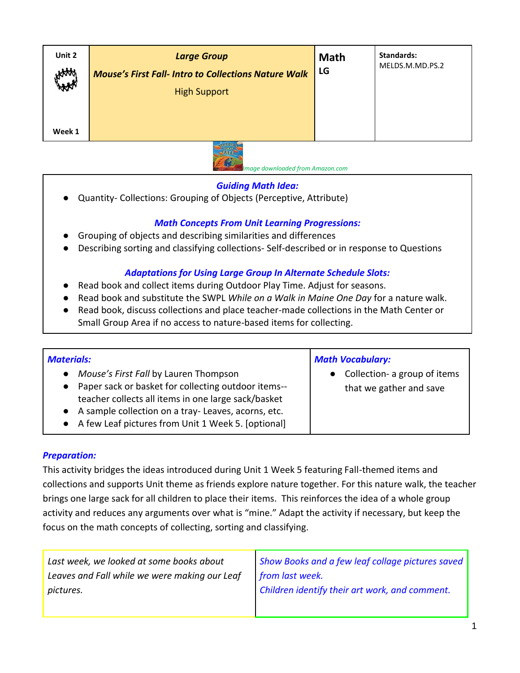| Unit 2<br>HAM | <b>Large Group</b><br><b>Mouse's First Fall- Intro to Collections Nature Walk</b> | <b>Math</b><br>LG | Standards:<br>MELDS.M.MD.PS.2 |
|---------------|-----------------------------------------------------------------------------------|-------------------|-------------------------------|
|               | <b>High Support</b>                                                               |                   |                               |
|               |                                                                                   |                   |                               |
| Week 1        |                                                                                   |                   |                               |
|               |                                                                                   |                   |                               |



 *Image downloaded from Amazon.com*

#### *Guiding Math Idea:*

● Quantity- Collections: Grouping of Objects (Perceptive, Attribute)

# *Math Concepts From Unit Learning Progressions:*

- Grouping of objects and describing similarities and differences
- Describing sorting and classifying collections- Self-described or in response to Questions

### *Adaptations for Using Large Group In Alternate Schedule Slots:*

- Read book and collect items during Outdoor Play Time. Adjust for seasons.
- Read book and substitute the SWPL *While on a Walk in Maine One Day* for a nature walk.
- Read book, discuss collections and place teacher-made collections in the Math Center or Small Group Area if no access to nature-based items for collecting.

| <b>Materials:</b>                                                                                                                                                                                                                                                                  | <b>Math Vocabulary:</b>                                              |
|------------------------------------------------------------------------------------------------------------------------------------------------------------------------------------------------------------------------------------------------------------------------------------|----------------------------------------------------------------------|
| Mouse's First Fall by Lauren Thompson<br>$\bullet$<br>• Paper sack or basket for collecting outdoor items--<br>teacher collects all items in one large sack/basket<br>• A sample collection on a tray-Leaves, acorns, etc.<br>• A few Leaf pictures from Unit 1 Week 5. [optional] | Collection- a group of items<br>$\bullet$<br>that we gather and save |

# *Preparation:*

This activity bridges the ideas introduced during Unit 1 Week 5 featuring Fall-themed items and collections and supports Unit theme as friends explore nature together. For this nature walk, the teacher brings one large sack for all children to place their items. This reinforces the idea of a whole group activity and reduces any arguments over what is "mine." Adapt the activity if necessary, but keep the focus on the math concepts of collecting, sorting and classifying.

| Last week, we looked at some books about      | Show Books and a few leaf collage pictures saved |
|-----------------------------------------------|--------------------------------------------------|
| Leaves and Fall while we were making our Leaf | from last week.                                  |
| pictures.                                     | Children identify their art work, and comment.   |
|                                               |                                                  |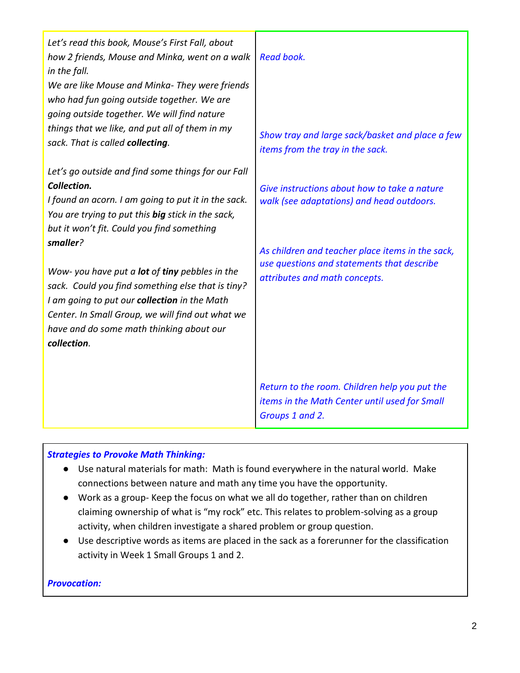| Let's read this book, Mouse's First Fall, about<br>how 2 friends, Mouse and Minka, went on a walk<br>in the fall.                                                                                                                                                              | <b>Read book.</b>                                                                                                               |
|--------------------------------------------------------------------------------------------------------------------------------------------------------------------------------------------------------------------------------------------------------------------------------|---------------------------------------------------------------------------------------------------------------------------------|
| We are like Mouse and Minka- They were friends<br>who had fun going outside together. We are<br>going outside together. We will find nature                                                                                                                                    |                                                                                                                                 |
| things that we like, and put all of them in my<br>sack. That is called collecting.                                                                                                                                                                                             | Show tray and large sack/basket and place a few<br>items from the tray in the sack.                                             |
| Let's go outside and find some things for our Fall<br>Collection.<br>I found an acorn. I am going to put it in the sack.<br>You are trying to put this big stick in the sack,<br>but it won't fit. Could you find something                                                    | Give instructions about how to take a nature<br>walk (see adaptations) and head outdoors.                                       |
| smaller?<br>Wow- you have put a lot of tiny pebbles in the<br>sack. Could you find something else that is tiny?<br>I am going to put our collection in the Math<br>Center. In Small Group, we will find out what we<br>have and do some math thinking about our<br>collection. | As children and teacher place items in the sack,<br>use questions and statements that describe<br>attributes and math concepts. |
|                                                                                                                                                                                                                                                                                | Return to the room. Children help you put the<br>items in the Math Center until used for Small<br>Groups 1 and 2.               |

### *Strategies to Provoke Math Thinking:*

- Use natural materials for math: Math is found everywhere in the natural world. Make connections between nature and math any time you have the opportunity.
- Work as a group- Keep the focus on what we all do together, rather than on children claiming ownership of what is "my rock" etc. This relates to problem-solving as a group activity, when children investigate a shared problem or group question.
- Use descriptive words as items are placed in the sack as a forerunner for the classification activity in Week 1 Small Groups 1 and 2.

#### *Provocation:*